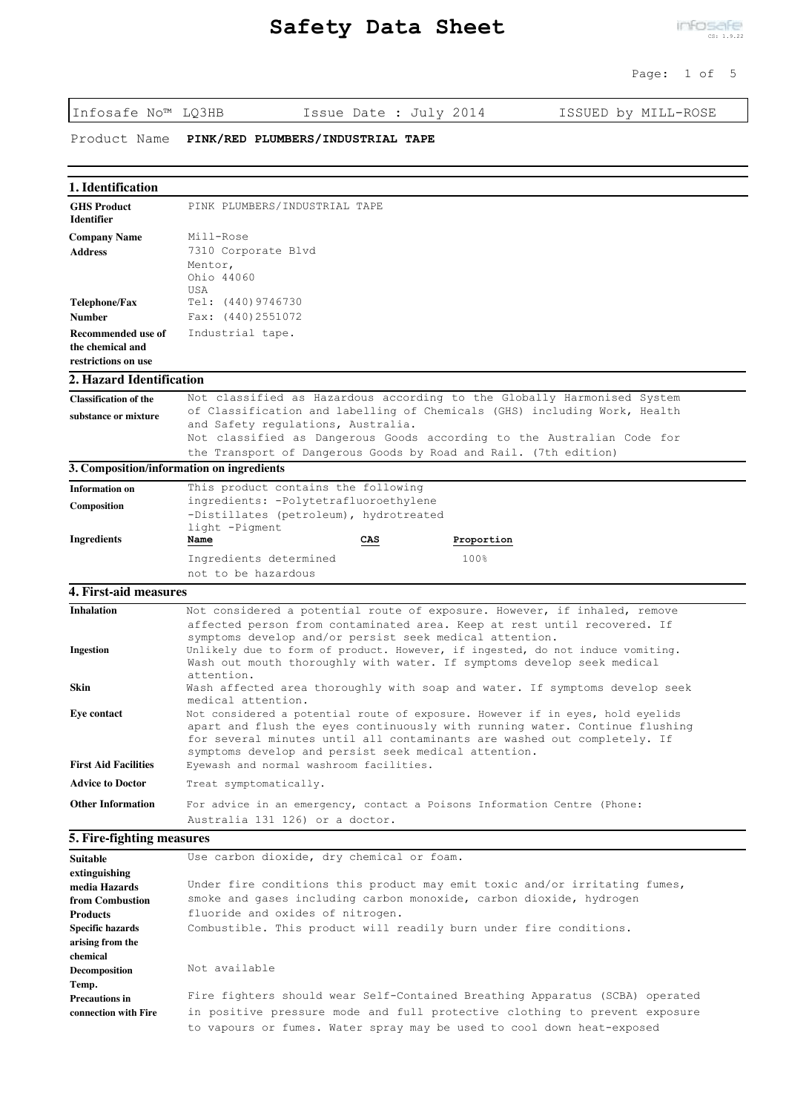| Infosafe No™ LQ3HB                                                                                           | Issue Date : July 2014<br>ISSUED by MILL-ROSE                                                                                                                                                                                                                                                     |  |  |
|--------------------------------------------------------------------------------------------------------------|---------------------------------------------------------------------------------------------------------------------------------------------------------------------------------------------------------------------------------------------------------------------------------------------------|--|--|
| Product Name                                                                                                 | PINK/RED PLUMBERS/INDUSTRIAL TAPE                                                                                                                                                                                                                                                                 |  |  |
| 1. Identification                                                                                            |                                                                                                                                                                                                                                                                                                   |  |  |
| <b>GHS Product</b><br><b>Identifier</b>                                                                      | PINK PLUMBERS/INDUSTRIAL TAPE                                                                                                                                                                                                                                                                     |  |  |
| <b>Company Name</b><br><b>Address</b>                                                                        | Mill-Rose<br>7310 Corporate Blvd<br>Mentor,<br>Ohio 44060<br>USA                                                                                                                                                                                                                                  |  |  |
| Telephone/Fax                                                                                                | Tel: $(440)9746730$                                                                                                                                                                                                                                                                               |  |  |
| <b>Number</b>                                                                                                | Fax: (440)2551072                                                                                                                                                                                                                                                                                 |  |  |
| Recommended use of<br>the chemical and<br>restrictions on use                                                | Industrial tape.                                                                                                                                                                                                                                                                                  |  |  |
| 2. Hazard Identification                                                                                     |                                                                                                                                                                                                                                                                                                   |  |  |
| <b>Classification of the</b>                                                                                 | Not classified as Hazardous according to the Globally Harmonised System                                                                                                                                                                                                                           |  |  |
| substance or mixture                                                                                         | of Classification and labelling of Chemicals (GHS) including Work, Health<br>and Safety regulations, Australia.<br>Not classified as Dangerous Goods according to the Australian Code for                                                                                                         |  |  |
|                                                                                                              | the Transport of Dangerous Goods by Road and Rail. (7th edition)                                                                                                                                                                                                                                  |  |  |
| 3. Composition/information on ingredients                                                                    |                                                                                                                                                                                                                                                                                                   |  |  |
| <b>Information on</b>                                                                                        | This product contains the following                                                                                                                                                                                                                                                               |  |  |
| Composition                                                                                                  | ingredients: -Polytetrafluoroethylene<br>-Distillates (petroleum), hydrotreated<br>light -Pigment                                                                                                                                                                                                 |  |  |
| <b>Ingredients</b>                                                                                           | Name<br>CAS<br>Proportion                                                                                                                                                                                                                                                                         |  |  |
|                                                                                                              | Ingredients determined<br>100%                                                                                                                                                                                                                                                                    |  |  |
|                                                                                                              | not to be hazardous                                                                                                                                                                                                                                                                               |  |  |
| 4. First-aid measures                                                                                        |                                                                                                                                                                                                                                                                                                   |  |  |
| <b>Inhalation</b>                                                                                            | Not considered a potential route of exposure. However, if inhaled, remove<br>affected person from contaminated area. Keep at rest until recovered. If<br>symptoms develop and/or persist seek medical attention.                                                                                  |  |  |
| <b>Ingestion</b>                                                                                             | Unlikely due to form of product. However, if ingested, do not induce vomiting.<br>Wash out mouth thoroughly with water. If symptoms develop seek medical<br>attention.                                                                                                                            |  |  |
| Skin                                                                                                         | Wash affected area thoroughly with soap and water. If symptoms develop seek<br>medical attention.                                                                                                                                                                                                 |  |  |
| <b>Eye contact</b>                                                                                           | Not considered a potential route of exposure. However if in eyes, hold eyelids<br>apart and flush the eyes continuously with running water. Continue flushing<br>for several minutes until all contaminants are washed out completely. If<br>symptoms develop and persist seek medical attention. |  |  |
| <b>First Aid Facilities</b>                                                                                  | Eyewash and normal washroom facilities.                                                                                                                                                                                                                                                           |  |  |
| <b>Advice to Doctor</b>                                                                                      | Treat symptomatically.                                                                                                                                                                                                                                                                            |  |  |
| <b>Other Information</b>                                                                                     | For advice in an emergency, contact a Poisons Information Centre (Phone:                                                                                                                                                                                                                          |  |  |
|                                                                                                              | Australia 131 126) or a doctor.                                                                                                                                                                                                                                                                   |  |  |
| 5. Fire-fighting measures                                                                                    |                                                                                                                                                                                                                                                                                                   |  |  |
| <b>Suitable</b>                                                                                              | Use carbon dioxide, dry chemical or foam.                                                                                                                                                                                                                                                         |  |  |
| extinguishing<br>media Hazards<br>from Combustion<br><b>Products</b><br>Specific hazards<br>arising from the | Under fire conditions this product may emit toxic and/or irritating fumes,<br>smoke and gases including carbon monoxide, carbon dioxide, hydrogen<br>fluoride and oxides of nitrogen.<br>Combustible. This product will readily burn under fire conditions.                                       |  |  |
| chemical<br><b>Decomposition</b>                                                                             | Not available                                                                                                                                                                                                                                                                                     |  |  |
| Temp.<br><b>Precautions in</b><br>connection with Fire                                                       | Fire fighters should wear Self-Contained Breathing Apparatus (SCBA) operated<br>in positive pressure mode and full protective clothing to prevent exposure                                                                                                                                        |  |  |

to vapours or fumes. Water spray may be used to cool down heat-exposed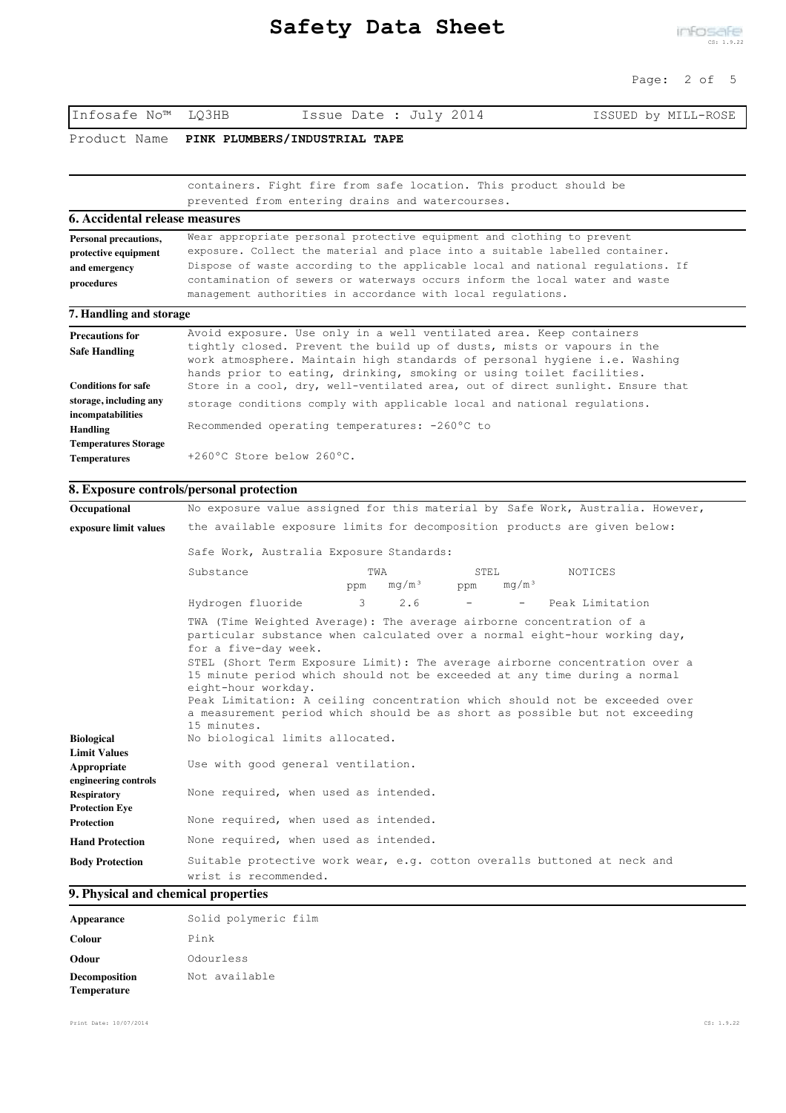# Page: 2 of 5

Infosafe No™ LQ3HB Issue Date : July 2014 ISSUED by MILL-ROSE Product Name **PINK PLUMBERS/INDUSTRIAL TAPE** containers. Fight fire from safe location. This product should be prevented from entering drains and watercourses. **6. Accidental release measures**

| <b>Personal precautions,</b> | Wear appropriate personal protective equipment and clothing to prevent                                                                              |  |  |
|------------------------------|-----------------------------------------------------------------------------------------------------------------------------------------------------|--|--|
| protective equipment         | exposure. Collect the material and place into a suitable labelled container.                                                                        |  |  |
| and emergency                | Dispose of waste according to the applicable local and national requlations. If                                                                     |  |  |
| procedures                   | contamination of sewers or waterways occurs inform the local water and waste<br>management authorities in accordance with local regulations.        |  |  |
| 7. Handling and storage      |                                                                                                                                                     |  |  |
| <b>Precautions for</b>       | Avoid exposure. Use only in a well ventilated area. Keep containers                                                                                 |  |  |
| <b>Safe Handling</b>         | tightly closed. Prevent the build up of dusts, mists or vapours in the<br>work atmosphere. Maintain high standards of personal hygiene i.e. Washing |  |  |

| <b>Safe Handling</b>        | CIGNETA CIOSEN, ETEAENE CHE DUITA NA OI ANSES, WISES OI AGAONIS IN CHE          |  |  |
|-----------------------------|---------------------------------------------------------------------------------|--|--|
|                             | work atmosphere. Maintain high standards of personal hygiene i.e. Washing       |  |  |
|                             | hands prior to eating, drinking, smoking or using toilet facilities.            |  |  |
| <b>Conditions for safe</b>  | Store in a cool, dry, well-ventilated area, out of direct sunlight. Ensure that |  |  |
| storage, including any      | storage conditions comply with applicable local and national regulations.       |  |  |
| incompatabilities           |                                                                                 |  |  |
| Handling                    | Recommended operating temperatures: -260°C to                                   |  |  |
| <b>Temperatures Storage</b> |                                                                                 |  |  |
| <b>Temperatures</b>         | +260°C Store below 260°C.                                                       |  |  |

#### **8. Exposure controls/personal protection**

| Occupational                                               |                                                                                                                                    |                                 |                                  | No exposure value assigned for this material by Safe Work, Australia. However,                                                                                                                                                                                                                                                                                                                      |  |
|------------------------------------------------------------|------------------------------------------------------------------------------------------------------------------------------------|---------------------------------|----------------------------------|-----------------------------------------------------------------------------------------------------------------------------------------------------------------------------------------------------------------------------------------------------------------------------------------------------------------------------------------------------------------------------------------------------|--|
| exposure limit values                                      | the available exposure limits for decomposition products are given below:<br>Safe Work, Australia Exposure Standards:              |                                 |                                  |                                                                                                                                                                                                                                                                                                                                                                                                     |  |
|                                                            |                                                                                                                                    |                                 |                                  |                                                                                                                                                                                                                                                                                                                                                                                                     |  |
|                                                            | Substance                                                                                                                          | TWA<br>mq/m <sup>3</sup><br>ppm | STEL<br>mq/m <sup>3</sup><br>ppm | NOTICES                                                                                                                                                                                                                                                                                                                                                                                             |  |
|                                                            | Hydrogen fluoride                                                                                                                  | $\mathbf{3}$<br>2.6             |                                  | Peak Limitation<br>$\sim 100$                                                                                                                                                                                                                                                                                                                                                                       |  |
|                                                            | TWA (Time Weighted Average): The average airborne concentration of a<br>for a five-day week.<br>eight-hour workday.<br>15 minutes. |                                 |                                  | particular substance when calculated over a normal eight-hour working day,<br>STEL (Short Term Exposure Limit): The average airborne concentration over a<br>15 minute period which should not be exceeded at any time during a normal<br>Peak Limitation: A ceiling concentration which should not be exceeded over<br>a measurement period which should be as short as possible but not exceeding |  |
| <b>Biological</b>                                          | No biological limits allocated.                                                                                                    |                                 |                                  |                                                                                                                                                                                                                                                                                                                                                                                                     |  |
| <b>Limit Values</b><br>Appropriate<br>engineering controls | Use with good general ventilation.                                                                                                 |                                 |                                  |                                                                                                                                                                                                                                                                                                                                                                                                     |  |
| <b>Respiratory</b><br><b>Protection Eve</b>                | None required, when used as intended.                                                                                              |                                 |                                  |                                                                                                                                                                                                                                                                                                                                                                                                     |  |
| <b>Protection</b>                                          | None required, when used as intended.                                                                                              |                                 |                                  |                                                                                                                                                                                                                                                                                                                                                                                                     |  |
| <b>Hand Protection</b>                                     | None required, when used as intended.                                                                                              |                                 |                                  |                                                                                                                                                                                                                                                                                                                                                                                                     |  |
| <b>Body Protection</b>                                     | wrist is recommended.                                                                                                              |                                 |                                  | Suitable protective work wear, e.g. cotton overalls buttoned at neck and                                                                                                                                                                                                                                                                                                                            |  |

#### **9. Physical and chemical properties**

| Appearance                   | Solid polymeric film |
|------------------------------|----------------------|
| <b>Colour</b>                | Pink                 |
| Odour                        | Odourless            |
| Decomposition<br>Temperature | Not available        |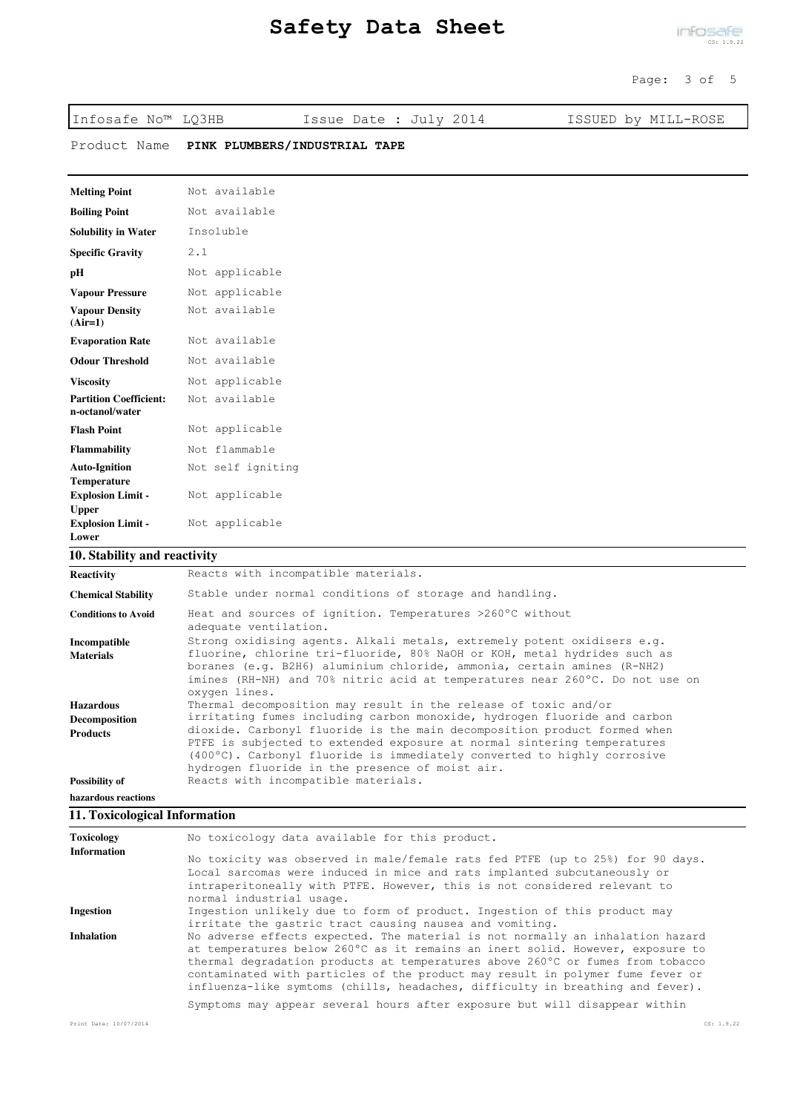Infosafe No™ LQ3HB Issue Date : July 2014 ISSUED by MILL-ROSE

Product Name **PINK PLUMBERS/INDUSTRIAL TAPE**

| <b>Melting Point</b>                             | Not available     |
|--------------------------------------------------|-------------------|
| <b>Boiling Point</b>                             | Not available     |
| <b>Solubility in Water</b>                       | Insoluble         |
| <b>Specific Gravity</b>                          | 2.1               |
| pН                                               | Not applicable    |
| <b>Vapour Pressure</b>                           | Not applicable    |
| <b>Vapour Density</b><br>$(Air=1)$               | Not available     |
| <b>Evaporation Rate</b>                          | Not available     |
| <b>Odour Threshold</b>                           | Not available     |
| <b>Viscosity</b>                                 | Not applicable    |
| <b>Partition Coefficient:</b><br>n-octanol/water | Not available     |
| <b>Flash Point</b>                               | Not applicable    |
| <b>Flammability</b>                              | Not flammable     |
| <b>Auto-Ignition</b><br>Temperature              | Not self igniting |
| <b>Explosion Limit -</b><br><b>Upper</b>         | Not applicable    |
| <b>Explosion Limit -</b><br>Lower                | Not applicable    |

## **10. Stability and reactivity**

| <b>Reactivity</b>          | Reacts with incompatible materials.                                                                                                                                                                                                                                               |
|----------------------------|-----------------------------------------------------------------------------------------------------------------------------------------------------------------------------------------------------------------------------------------------------------------------------------|
| <b>Chemical Stability</b>  | Stable under normal conditions of storage and handling.                                                                                                                                                                                                                           |
| <b>Conditions to Avoid</b> | Heat and sources of ignition. Temperatures >260°C without<br>adequate ventilation.                                                                                                                                                                                                |
| Incompatible               | Strong oxidising agents. Alkali metals, extremely potent oxidisers e.g.                                                                                                                                                                                                           |
| <b>Materials</b>           | fluorine, chlorine tri-fluoride, 80% NaOH or KOH, metal hydrides such as<br>boranes (e.g. B2H6) aluminium chloride, ammonia, certain amines (R-NH2)<br>imines (RH-NH) and 70% nitric acid at temperatures near 260°C. Do not use on<br>oxygen lines.                              |
| <b>Hazardous</b>           | Thermal decomposition may result in the release of toxic and/or                                                                                                                                                                                                                   |
| <b>Decomposition</b>       | irritating fumes including carbon monoxide, hydrogen fluoride and carbon                                                                                                                                                                                                          |
| <b>Products</b>            | dioxide. Carbonyl fluoride is the main decomposition product formed when<br>PTFE is subjected to extended exposure at normal sintering temperatures<br>(400°C). Carbonyl fluoride is immediately converted to highly corrosive<br>hydrogen fluoride in the presence of moist air. |
| <b>Possibility of</b>      | Reacts with incompatible materials.                                                                                                                                                                                                                                               |
| hazardous reactions        |                                                                                                                                                                                                                                                                                   |
|                            |                                                                                                                                                                                                                                                                                   |

## **11. Toxicological Information**

| Toxicology             | No toxicology data available for this product.                                                                                                                                                                                                                                                                                                                                                                         |            |
|------------------------|------------------------------------------------------------------------------------------------------------------------------------------------------------------------------------------------------------------------------------------------------------------------------------------------------------------------------------------------------------------------------------------------------------------------|------------|
| <b>Information</b>     | No toxicity was observed in male/female rats fed PTFE (up to 25%) for 90 days.<br>Local sarcomas were induced in mice and rats implanted subcutaneously or<br>intraperitoneally with PTFE. However, this is not considered relevant to<br>normal industrial usage.                                                                                                                                                     |            |
| <b>Ingestion</b>       | Ingestion unlikely due to form of product. Ingestion of this product may<br>irritate the gastric tract causing nausea and vomiting.                                                                                                                                                                                                                                                                                    |            |
| <b>Inhalation</b>      | No adverse effects expected. The material is not normally an inhalation hazard<br>at temperatures below 260°C as it remains an inert solid. However, exposure to<br>thermal degradation products at temperatures above 260°C or fumes from tobacco<br>contaminated with particles of the product may result in polymer fume fever or<br>influenza-like symtoms (chills, headaches, difficulty in breathing and fever). |            |
|                        | Symptoms may appear several hours after exposure but will disappear within                                                                                                                                                                                                                                                                                                                                             |            |
| Print Date: 10/07/2014 |                                                                                                                                                                                                                                                                                                                                                                                                                        | CS: 1.9.22 |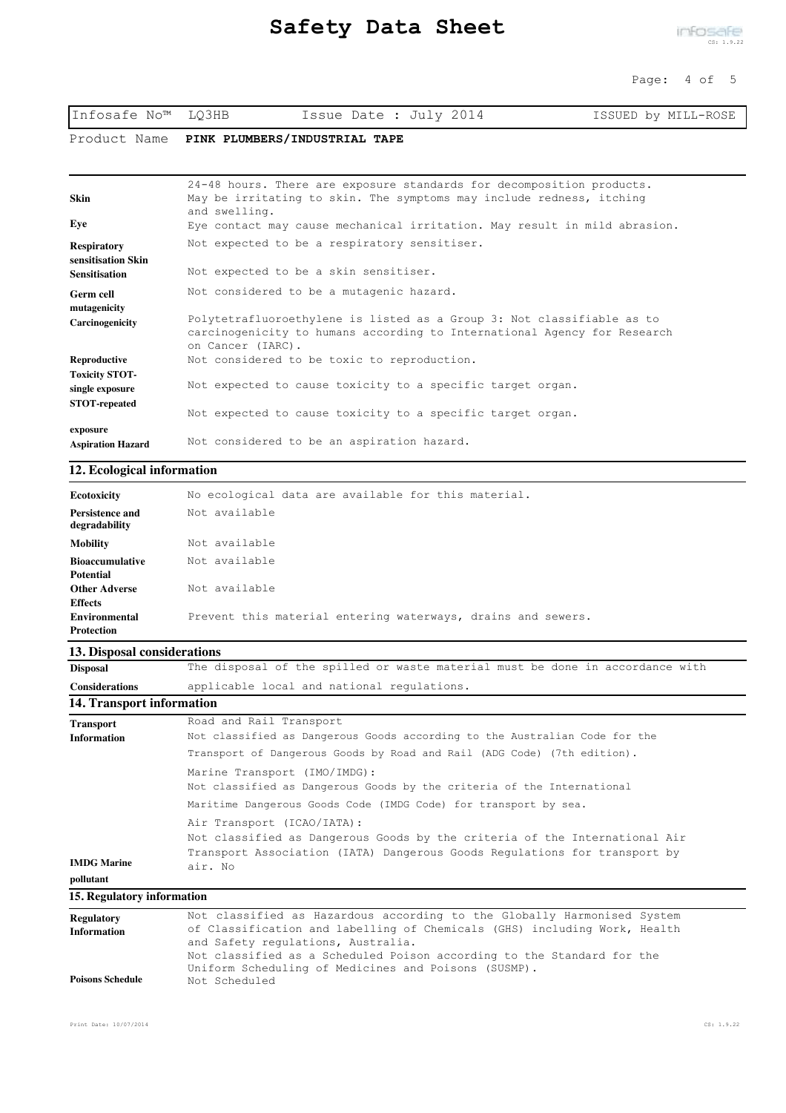| Infosafe No™ LQ3HB | Issue Date : July 2014 | ISSUED by MILL-ROSE |
|--------------------|------------------------|---------------------|
|--------------------|------------------------|---------------------|

Product Name **PINK PLUMBERS/INDUSTRIAL TAPE**

| Skin                                     | 24-48 hours. There are exposure standards for decomposition products.<br>May be irritating to skin. The symptoms may include redness, itching<br>and swelling.          |
|------------------------------------------|-------------------------------------------------------------------------------------------------------------------------------------------------------------------------|
| Eye                                      | Eye contact may cause mechanical irritation. May result in mild abrasion.                                                                                               |
| <b>Respiratory</b><br>sensitisation Skin | Not expected to be a respiratory sensitiser.                                                                                                                            |
| <b>Sensitisation</b>                     | Not expected to be a skin sensitiser.                                                                                                                                   |
| <b>Germ cell</b><br>mutagenicity         | Not considered to be a mutagenic hazard.                                                                                                                                |
| <b>Carcinogenicity</b>                   | Polytetrafluoroethylene is listed as a Group 3: Not classifiable as to<br>carcinogenicity to humans according to International Agency for Research<br>on Cancer (IARC). |
| Reproductive                             | Not considered to be toxic to reproduction.                                                                                                                             |
| <b>Toxicity STOT-</b>                    |                                                                                                                                                                         |
| single exposure                          | Not expected to cause toxicity to a specific target organ.                                                                                                              |
| <b>STOT-repeated</b>                     | Not expected to cause toxicity to a specific target organ.                                                                                                              |
| exposure                                 |                                                                                                                                                                         |
| <b>Aspiration Hazard</b>                 | Not considered to be an aspiration hazard.                                                                                                                              |

#### **12. Ecological information**

| Ecotoxicity                      | No ecological data are available for this material.          |
|----------------------------------|--------------------------------------------------------------|
| Persistence and<br>degradability | Not available                                                |
| <b>Mobility</b>                  | Not available                                                |
| <b>Bioaccumulative</b>           | Not available                                                |
| <b>Potential</b>                 |                                                              |
| <b>Other Adverse</b>             | Not available                                                |
| <b>Effects</b>                   |                                                              |
| Environmental                    | Prevent this material entering waterways, drains and sewers. |
| <b>Protection</b>                |                                                              |

## **13. Disposal considerations**

| <b>Disposal</b>       | The disposal of the spilled or waste material must be done in accordance with |
|-----------------------|-------------------------------------------------------------------------------|
| <b>Considerations</b> | applicable local and national regulations.                                    |

## **14. Transport information**

| <b>Transport</b><br><b>Information</b> | Road and Rail Transport<br>Not classified as Dangerous Goods according to the Australian Code for the                                                                                            |
|----------------------------------------|--------------------------------------------------------------------------------------------------------------------------------------------------------------------------------------------------|
|                                        | Transport of Dangerous Goods by Road and Rail (ADG Code) (7th edition).                                                                                                                          |
|                                        | Marine Transport (IMO/IMDG):<br>Not classified as Dangerous Goods by the criteria of the International<br>Maritime Dangerous Goods Code (IMDG Code) for transport by sea.                        |
| <b>IMDG Marine</b>                     | Air Transport (ICAO/IATA):<br>Not classified as Dangerous Goods by the criteria of the International Air<br>Transport Association (IATA) Dangerous Goods Regulations for transport by<br>air. No |
| pollutant                              |                                                                                                                                                                                                  |
| 15. Regulatory information             |                                                                                                                                                                                                  |

| Regulatory              | Not classified as Hazardous according to the Globally Harmonised System   |
|-------------------------|---------------------------------------------------------------------------|
| <b>Information</b>      | of Classification and labelling of Chemicals (GHS) including Work, Health |
|                         | and Safety regulations, Australia.                                        |
|                         | Not classified as a Scheduled Poison according to the Standard for the    |
|                         | Uniform Scheduling of Medicines and Poisons (SUSMP).                      |
| <b>Poisons Schedule</b> | Not Scheduled                                                             |